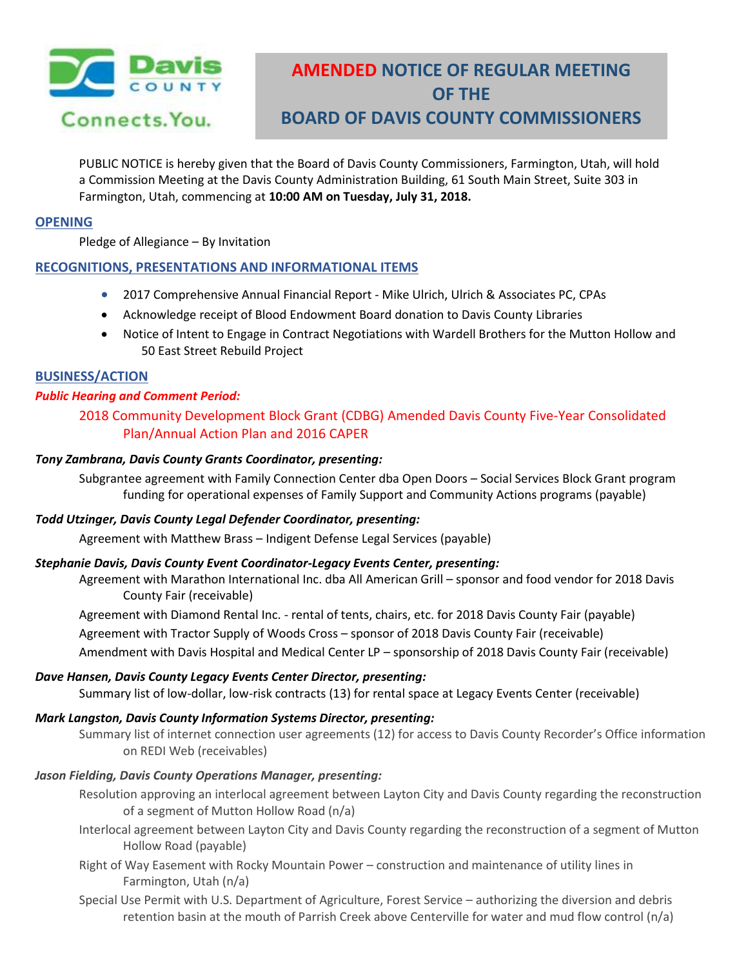

# **AMENDED NOTICE OF REGULAR MEETING OF THE BOARD OF DAVIS COUNTY COMMISSIONERS**

PUBLIC NOTICE is hereby given that the Board of Davis County Commissioners, Farmington, Utah, will hold a Commission Meeting at the Davis County Administration Building, 61 South Main Street, Suite 303 in Farmington, Utah, commencing at **10:00 AM on Tuesday, July 31, 2018.**

## **OPENING**

Pledge of Allegiance – By Invitation

## **RECOGNITIONS, PRESENTATIONS AND INFORMATIONAL ITEMS**

- 2017 Comprehensive Annual Financial Report Mike Ulrich, Ulrich & Associates PC, CPAs
- Acknowledge receipt of Blood Endowment Board donation to Davis County Libraries
- Notice of Intent to Engage in Contract Negotiations with Wardell Brothers for the Mutton Hollow and 50 East Street Rebuild Project

## **BUSINESS/ACTION**

## *Public Hearing and Comment Period:*

2018 Community Development Block Grant (CDBG) Amended Davis County Five-Year Consolidated Plan/Annual Action Plan and 2016 CAPER

## *Tony Zambrana, Davis County Grants Coordinator, presenting:*

Subgrantee agreement with Family Connection Center dba Open Doors – Social Services Block Grant program funding for operational expenses of Family Support and Community Actions programs (payable)

## *Todd Utzinger, Davis County Legal Defender Coordinator, presenting:*

Agreement with Matthew Brass – Indigent Defense Legal Services (payable)

## *Stephanie Davis, Davis County Event Coordinator-Legacy Events Center, presenting:*

Agreement with Marathon International Inc. dba All American Grill – sponsor and food vendor for 2018 Davis County Fair (receivable)

Agreement with Diamond Rental Inc. - rental of tents, chairs, etc. for 2018 Davis County Fair (payable)

Agreement with Tractor Supply of Woods Cross – sponsor of 2018 Davis County Fair (receivable)

Amendment with Davis Hospital and Medical Center LP – sponsorship of 2018 Davis County Fair (receivable)

## *Dave Hansen, Davis County Legacy Events Center Director, presenting:*

Summary list of low-dollar, low-risk contracts (13) for rental space at Legacy Events Center (receivable)

## *Mark Langston, Davis County Information Systems Director, presenting:*

Summary list of internet connection user agreements (12) for access to Davis County Recorder's Office information on REDI Web (receivables)

## *Jason Fielding, Davis County Operations Manager, presenting:*

- Resolution approving an interlocal agreement between Layton City and Davis County regarding the reconstruction of a segment of Mutton Hollow Road (n/a)
- Interlocal agreement between Layton City and Davis County regarding the reconstruction of a segment of Mutton Hollow Road (payable)
- Right of Way Easement with Rocky Mountain Power construction and maintenance of utility lines in Farmington, Utah (n/a)
- Special Use Permit with U.S. Department of Agriculture, Forest Service authorizing the diversion and debris retention basin at the mouth of Parrish Creek above Centerville for water and mud flow control (n/a)